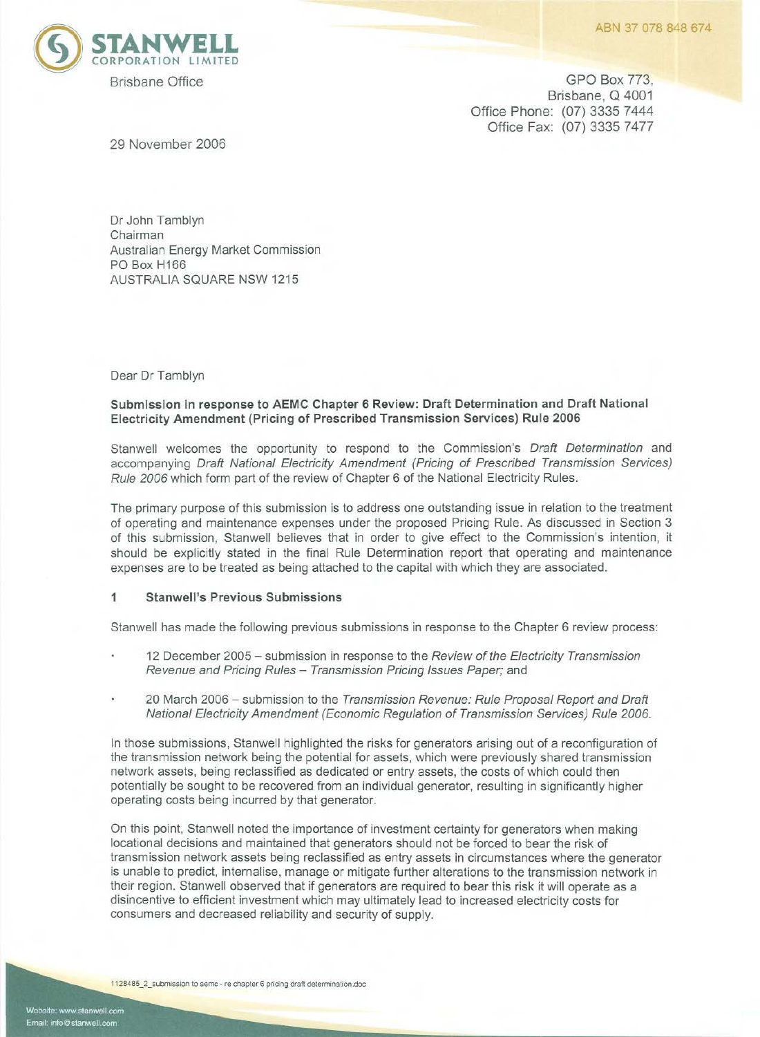

Brisbane Office GPO Box 773, Brisbane, Q 4001 Office Phone: (07) 3335 7444 Office Fax: (07) 3335 7477

29 November 2006

Dr John Tamblyn Chairman Australian Energy Market Commission PO Box H166 AUSTRALIA SQUARE NSW 1215

Dear Dr Tamblyn

# **Submission in response to AEMC Chapter 6 Review: Draft Determination and Draft National Electricity Amendment (Pricing of Prescribed Transmission Services) Rule 2006**

Stanwell welcomes the opportunity to respond to the Commission's Draft Determination and accompanying Draft National Electricity Amendment (Pricing of Prescribed Transmission Services) Rule 2006 which form part of the review of Chapter 6 of the National Electricity Rules.

The primary purpose of this submission is to address one outstanding issue in relation to the treatment of operating and maintenance expenses under the proposed Pricing Rule. As discussed in Section 3 of this submission, Stanwell believes that in order to give effect to the Commission's intention, it should be explicitly stated in the final Rule Determination report that operating and maintenance expenses are to be treated as being attached to the capital with which they are associated.

## 1 **Stanwell's Previous Submissions**

Stanwell has made the following previous submissions in response to the Chapter 6 review process:

- 12 December 2005 submission in response to the Review of the Electricity Transmission Revenue and Pricing Rules - Transmission Pricing Issues Paper; and
- 20 March 2006 submission to the Transmission Revenue: Rule Proposal Report and Draft National Electricity Amendment (Economic Regulation of Transmission Services) Rule *2006.*

In those submissions, Stanwell highlighted the risks for generators arising out of a reconfiguration of the transmission network being the potential for assets, which were previously shared transmission network assets, being reclassified as dedicated or entry assets, the costs of which could then potentially be sought to be recovered from an individual generator, resulting in significantly higher operating costs being incurred by that generator.

On this point, Stanwell noted the importance of investment certainty for generators when making locational decisions and maintained that generators should not be forced to bear the risk of transmission network assets being reclassified as entry assets in circumstances where the generator is unable to predict, internalise, manage or mitigate further alterations to the transmission network in their region. Stanwell observed that if generators are required to bear this risk it will operate as a disincentive to efficient investment which may ultimately lead to increased electricity costs for consumers and decreased reliability and security of supply.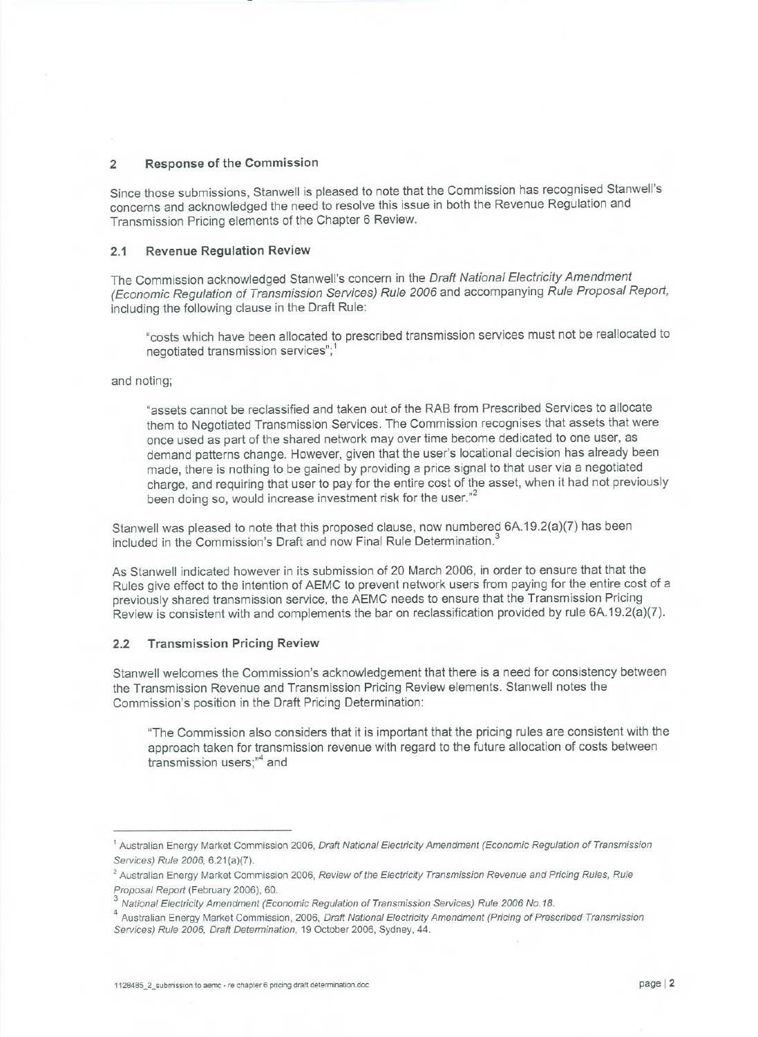### 2 **Response of the Commission**

Since those submissions, Stanwell is pleased to note that the Commission has recognised Stanwell's concerns and acknowledged the need to resolve this issue in both the Revenue Regulation and Transmission Pricing elements of the Chapter 6 Review.

### **2.1 Revenue Regulation Review**

The Commission acknowledged Stanwell's concern in the Draft National Electricity Amendment (Economic Regulation of Transmission Services) Rule 2006 and accompanying Rule Proposal Report, including the following clause in the Draft Rule:

"costs which have been allocated to prescribed transmission services must not be reallocated to negotiated transmission services";<sup>1</sup>

## and noting;

"assets cannot be reclassified and taken out of the RAB from Prescribed Services to allocate them to Negotiated Transmission Services. The Commission recognises that assets that were once used as part of the shared network may over time become dedicated to one user, as demand patterns change. However, given that the user's locational decision has already been made, there is nothing to be gained by providing a price signal to that user via a negotiated charge, and requiring that user to pay for the entire cost of the asset, when it had not previously been doing so, would increase investment risk for the user."<sup>2</sup>

Stanwell was pleased to note that this proposed clause, now numbered 6A.19.2(a)(7) has been included in the Commission's Draft and now Final Rule Determination.<sup>3</sup>

As Stanwell indicated however in its submission of 20 March 2006, in order to ensure that that the Rules give effect to the intention of AEMC to prevent network users from paying for the entire cost of a previously shared transmission service, the AEMC needs to ensure that the Transmission Pricing Review is consistent with and complements the bar on reclassification provided by rule 6A.19.2(a)(7).

#### **2.2 Transmission Pricing Review**

Stanwell welcomes the Commission's acknowledgement that there is a need for consistency between the Transmission Revenue and Transmission Pricing Review elements. Stanwell notes the Commission's position in the Draft Pricing Determination:

"The Commission also considers that it is important that the pricing rules are consistent with the approach taken for transmission revenue with regard to the future allocation of costs between  $t$ ransmission users; $n^4$  and

<sup>&</sup>lt;sup>1</sup> Australian Energy Market Commission 2006, Draft National Electricity Amendment (Economic Regulation of Transmission Services) Rule 2006, 6.21(a)(7).

<sup>&</sup>lt;sup>2</sup> Australian Energy Market Commission 2006, Review of the Electricity Transmission Revenue and Pricing Rules, Rule Proposal Report (February 2006), 60.

<sup>3</sup> National Electricity Amendment (Economic Regulation of Transmission Services) Rule 2006 No. 18.

<sup>&</sup>lt;sup>4</sup> Australian Energy Market Commission, 2006, Draft National Electricity Amendment (Pricing of Prescribed Transmission Services) Rule 2006, Draft Determination, 19 October 2006, Sydney, 44.